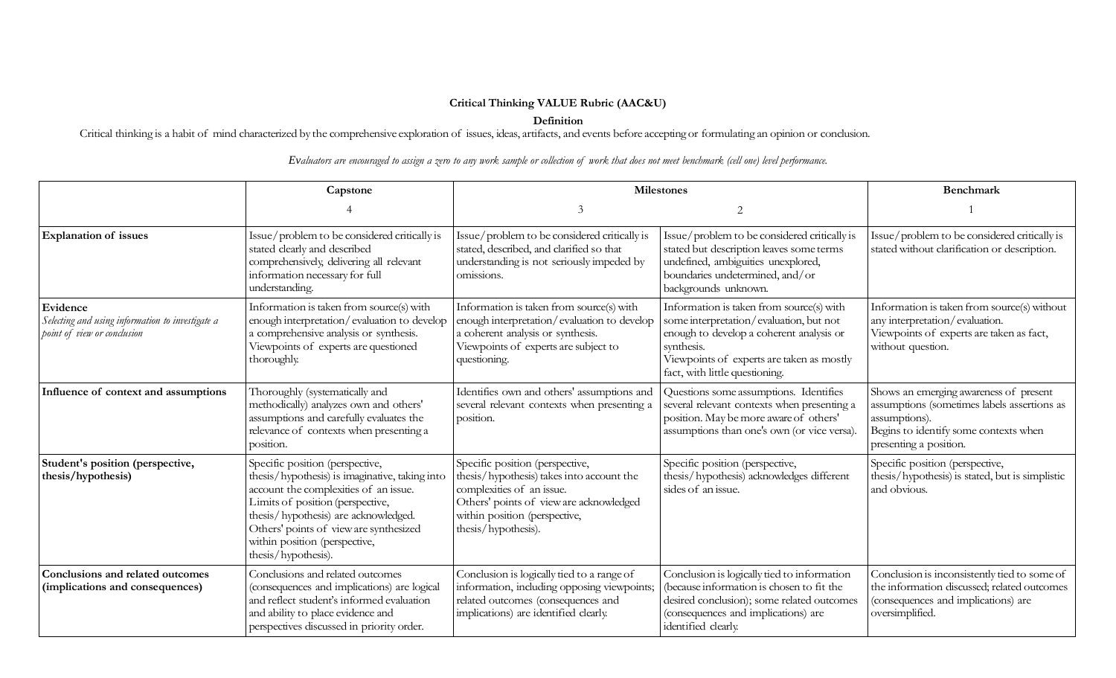## **Critical Thinking VALUE Rubric (AAC&U)**

**Definition**

Critical thinking is a habit of mind characterized by the comprehensive exploration of issues, ideas, artifacts, and events before accepting or formulating an opinion or conclusion.

Evaluators are encouraged to assign a zero to any work sample or collection of work that does not meet benchmark (cell one) level performance.

|                                                                                             | Capstone                                                                                                                                                                                                                                                                                                 | <b>Milestones</b>                                                                                                                                                                                            |                                                                                                                                                                                                                              | <b>Benchmark</b>                                                                                                                                                          |
|---------------------------------------------------------------------------------------------|----------------------------------------------------------------------------------------------------------------------------------------------------------------------------------------------------------------------------------------------------------------------------------------------------------|--------------------------------------------------------------------------------------------------------------------------------------------------------------------------------------------------------------|------------------------------------------------------------------------------------------------------------------------------------------------------------------------------------------------------------------------------|---------------------------------------------------------------------------------------------------------------------------------------------------------------------------|
|                                                                                             |                                                                                                                                                                                                                                                                                                          | $\mathcal{E}$                                                                                                                                                                                                | 2                                                                                                                                                                                                                            |                                                                                                                                                                           |
| <b>Explanation of issues</b>                                                                | Issue/problem to be considered critically is<br>stated clearly and described<br>comprehensively, delivering all relevant<br>information necessary for full<br>understanding.                                                                                                                             | Issue/problem to be considered critically is<br>stated, described, and clarified so that<br>understanding is not seriously impeded by<br>omissions.                                                          | Issue/problem to be considered critically is<br>stated but description leaves some terms<br>undefined, ambiguities unexplored,<br>boundaries undetermined, and/or<br>backgrounds unknown.                                    | Issue/problem to be considered critically is<br>stated without clarification or description.                                                                              |
| Evidence<br>Selecting and using information to investigate a<br>point of view or conclusion | Information is taken from source(s) with<br>enough interpretation/evaluation to develop<br>a comprehensive analysis or synthesis.<br>Viewpoints of experts are questioned<br>thoroughly.                                                                                                                 | Information is taken from source(s) with<br>enough interpretation/evaluation to develop<br>a coherent analysis or synthesis.<br>Viewpoints of experts are subject to<br>questioning.                         | Information is taken from source(s) with<br>some interpretation/evaluation, but not<br>enough to develop a coherent analysis or<br>synthesis.<br>Viewpoints of experts are taken as mostly<br>fact, with little questioning. | Information is taken from source(s) without<br>any interpretation/evaluation.<br>Viewpoints of experts are taken as fact,<br>without question.                            |
| Influence of context and assumptions                                                        | Thoroughly (systematically and<br>methodically) analyzes own and others'<br>assumptions and carefully evaluates the<br>relevance of contexts when presenting a<br>position.                                                                                                                              | Identifies own and others' assumptions and<br>several relevant contexts when presenting a<br>position.                                                                                                       | Questions some assumptions. Identifies<br>several relevant contexts when presenting a<br>position. May be more aware of others'<br>assumptions than one's own (or vice versa).                                               | Shows an emerging awareness of present<br>assumptions (sometimes labels assertions as<br>assumptions).<br>Begins to identify some contexts when<br>presenting a position. |
| Student's position (perspective,<br>thesis/hypothesis)                                      | Specific position (perspective,<br>thesis/hypothesis) is imaginative, taking into<br>account the complexities of an issue.<br>Limits of position (perspective,<br>thesis/hypothesis) are acknowledged.<br>Others' points of view are synthesized<br>within position (perspective,<br>thesis/hypothesis). | Specific position (perspective,<br>thesis/hypothesis) takes into account the<br>complexities of an issue.<br>Others' points of view are acknowledged<br>within position (perspective,<br>thesis/hypothesis). | Specific position (perspective,<br>thesis/hypothesis) acknowledges different<br>sides of an issue.                                                                                                                           | Specific position (perspective,<br>thesis/hypothesis) is stated, but is simplistic<br>and obvious.                                                                        |
| Conclusions and related outcomes<br>(implications and consequences)                         | Conclusions and related outcomes<br>(consequences and implications) are logical<br>and reflect student's informed evaluation<br>and ability to place evidence and<br>perspectives discussed in priority order.                                                                                           | Conclusion is logically tied to a range of<br>information, including opposing viewpoints;<br>related outcomes (consequences and<br>implications) are identified clearly.                                     | Conclusion is logically tied to information<br>(because information is chosen to fit the<br>desired conclusion); some related outcomes<br>(consequences and implications) are<br>identified clearly.                         | Conclusion is inconsistently tied to some of<br>the information discussed; related outcomes<br>(consequences and implications) are<br>oversimplified.                     |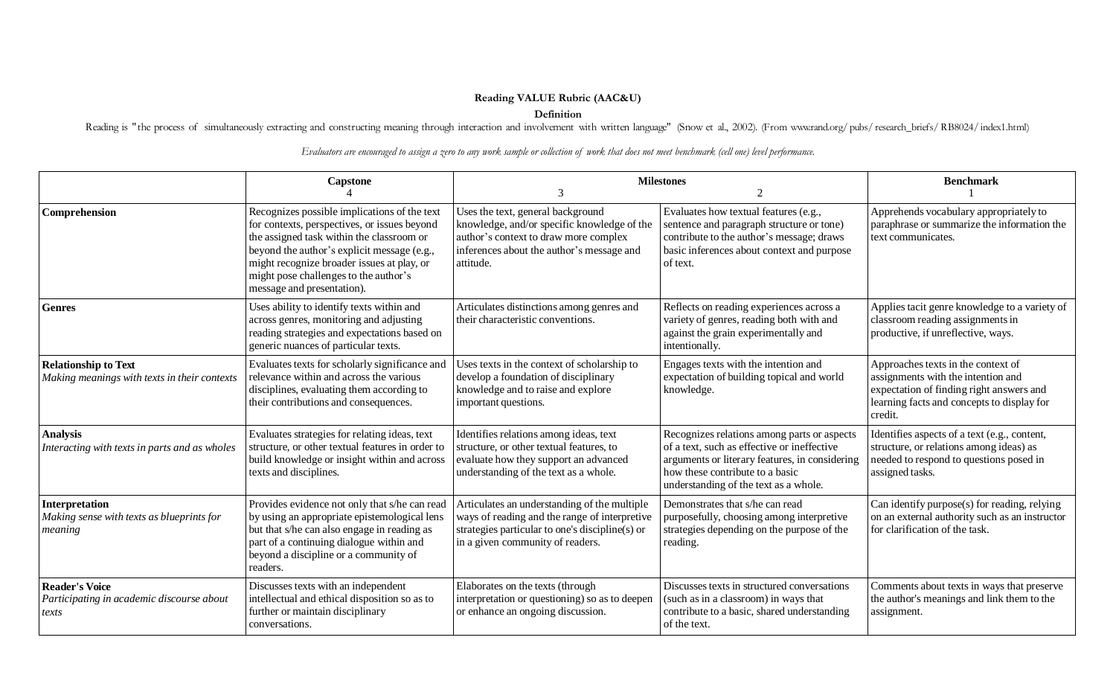## **Reading VALUE Rubric (AAC&U)**

## **Definition**

Reading is "the process of simultaneously extracting and constructing meaning through interaction and involvement with written language" (Snow et al., 2002). (From [www.rand.org/](http://www.rand.org/) pubs/ research\_briefs/ RB8024/ index1.html)

Evaluators are encouraged to assign a zero to any work sample or collection of work that does not meet benchmark (cell one) level performance.

|                                                                             | <b>Capstone</b>                                                                                                                                                                                                                                                                                               |                                                                                                                                                                                      | <b>Milestones</b><br>$\mathfrak{D}$                                                                                                                                                                                      | <b>Benchmark</b>                                                                                                                                                              |
|-----------------------------------------------------------------------------|---------------------------------------------------------------------------------------------------------------------------------------------------------------------------------------------------------------------------------------------------------------------------------------------------------------|--------------------------------------------------------------------------------------------------------------------------------------------------------------------------------------|--------------------------------------------------------------------------------------------------------------------------------------------------------------------------------------------------------------------------|-------------------------------------------------------------------------------------------------------------------------------------------------------------------------------|
| Comprehension                                                               | Recognizes possible implications of the text<br>for contexts, perspectives, or issues beyond<br>the assigned task within the classroom or<br>beyond the author's explicit message (e.g.,<br>might recognize broader issues at play, or<br>might pose challenges to the author's<br>message and presentation). | Uses the text, general background<br>knowledge, and/or specific knowledge of the<br>author's context to draw more complex<br>inferences about the author's message and<br>attitude.  | Evaluates how textual features (e.g.,<br>sentence and paragraph structure or tone)<br>contribute to the author's message; draws<br>basic inferences about context and purpose<br>of text.                                | Apprehends vocabulary appropriately to<br>paraphrase or summarize the information the<br>text communicates.                                                                   |
| <b>Genres</b>                                                               | Uses ability to identify texts within and<br>across genres, monitoring and adjusting<br>reading strategies and expectations based on<br>generic nuances of particular texts.                                                                                                                                  | Articulates distinctions among genres and<br>their characteristic conventions.                                                                                                       | Reflects on reading experiences across a<br>variety of genres, reading both with and<br>against the grain experimentally and<br>intentionally.                                                                           | Applies tacit genre knowledge to a variety of<br>classroom reading assignments in<br>productive, if unreflective, ways.                                                       |
| <b>Relationship to Text</b><br>Making meanings with texts in their contexts | Evaluates texts for scholarly significance and<br>relevance within and across the various<br>disciplines, evaluating them according to<br>their contributions and consequences.                                                                                                                               | Uses texts in the context of scholarship to<br>develop a foundation of disciplinary<br>knowledge and to raise and explore<br>important questions.                                    | Engages texts with the intention and<br>expectation of building topical and world<br>knowledge.                                                                                                                          | Approaches texts in the context of<br>assignments with the intention and<br>expectation of finding right answers and<br>learning facts and concepts to display for<br>credit. |
| <b>Analysis</b><br>Interacting with texts in parts and as wholes            | Evaluates strategies for relating ideas, text<br>structure, or other textual features in order to<br>build knowledge or insight within and across<br>texts and disciplines.                                                                                                                                   | Identifies relations among ideas, text<br>structure, or other textual features, to<br>evaluate how they support an advanced<br>understanding of the text as a whole.                 | Recognizes relations among parts or aspects<br>of a text, such as effective or ineffective<br>arguments or literary features, in considering<br>how these contribute to a basic<br>understanding of the text as a whole. | Identifies aspects of a text (e.g., content,<br>structure, or relations among ideas) as<br>needed to respond to questions posed in<br>assigned tasks.                         |
| Interpretation<br>Making sense with texts as blueprints for<br>meaning      | Provides evidence not only that s/he can read<br>by using an appropriate epistemological lens<br>but that s/he can also engage in reading as<br>part of a continuing dialogue within and<br>beyond a discipline or a community of<br>readers.                                                                 | Articulates an understanding of the multiple<br>ways of reading and the range of interpretive<br>strategies particular to one's discipline(s) or<br>in a given community of readers. | Demonstrates that s/he can read<br>purposefully, choosing among interpretive<br>strategies depending on the purpose of the<br>reading.                                                                                   | Can identify purpose(s) for reading, relying<br>on an external authority such as an instructor<br>for clarification of the task.                                              |
| <b>Reader's Voice</b><br>Participating in academic discourse about<br>texts | Discusses texts with an independent<br>intellectual and ethical disposition so as to<br>further or maintain disciplinary<br>conversations.                                                                                                                                                                    | Elaborates on the texts (through<br>interpretation or questioning) so as to deepen<br>or enhance an ongoing discussion.                                                              | Discusses texts in structured conversations<br>(such as in a classroom) in ways that<br>contribute to a basic, shared understanding<br>of the text.                                                                      | Comments about texts in ways that preserve<br>the author's meanings and link them to the<br>assignment.                                                                       |